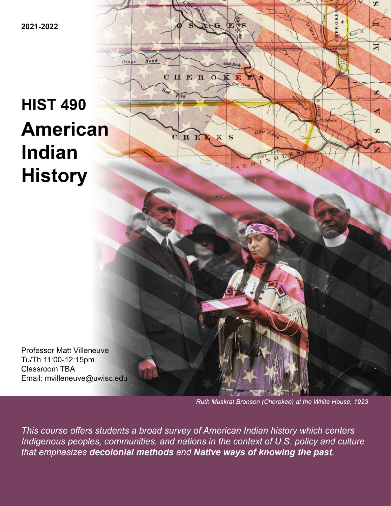2021-2022

# **HIST 490 American Indian History**

 $0s$ 

CHEROK

CREE

Æ

 $K|S$ 

*<u>Attle</u>* 

**Professor Matt Villeneuve** Tu/Th 11:00-12:15pm Classroom TBA Email: mvilleneuve@uwisc.edu

Ruth Muskrat Bronson (Cherokee) at the White House, 1923

S

σ

 $\overline{S}$ 

z

East R.

This course offers students a broad survey of American Indian history which centers Indigenous peoples, communities, and nations in the context of U.S. policy and culture that emphasizes decolonial methods and Native ways of knowing the past.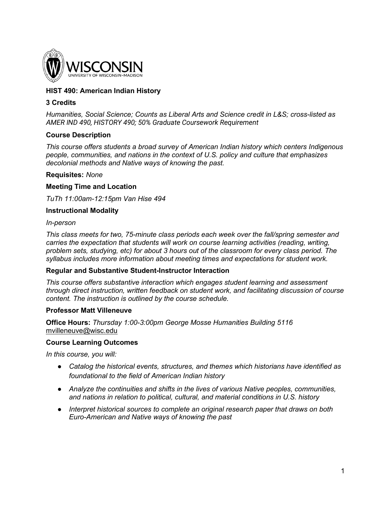

# **HIST 490: American Indian History**

## **3 Credits**

*Humanities, Social Science; Counts as Liberal Arts and Science credit in L&S; cross-listed as AMER IND 490, HISTORY 490; 50% Graduate Coursework Requirement* 

## **Course Description**

*This course offers students a broad survey of American Indian history which centers Indigenous people, communities, and nations in the context of U.S. policy and culture that emphasizes decolonial methods and Native ways of knowing the past.* 

#### **Requisites:** *None*

#### **Meeting Time and Location**

*TuTh 11:00am-12:15pm Van Hise 494*

#### **Instructional Modality**

#### *In-person*

*This class meets for two, 75-minute class periods each week over the fall/spring semester and carries the expectation that students will work on course learning activities (reading, writing, problem sets, studying, etc) for about 3 hours out of the classroom for every class period. The syllabus includes more information about meeting times and expectations for student work.*

#### **Regular and Substantive Student-Instructor Interaction**

*This course offers substantive interaction which engages student learning and assessment through direct instruction, written feedback on student work, and facilitating discussion of course content. The instruction is outlined by the course schedule.* 

#### **Professor Matt Villeneuve**

**Office Hours:** *Thursday 1:00-3:00pm George Mosse Humanities Building 5116* [mvilleneuve@wisc.edu](mailto:mvilleneuve@wisc.edu)

#### **Course Learning Outcomes**

*In this course, you will:*

- *Catalog the historical events, structures, and themes which historians have identified as foundational to the field of American Indian history*
- *Analyze the continuities and shifts in the lives of various Native peoples, communities, and nations in relation to political, cultural, and material conditions in U.S. history*
- *Interpret historical sources to complete an original research paper that draws on both Euro-American and Native ways of knowing the past*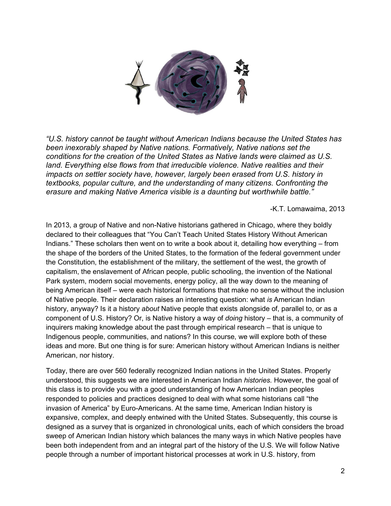

*"U.S. history cannot be taught without American Indians because the United States has been inexorably shaped by Native nations. Formatively, Native nations set the conditions for the creation of the United States as Native lands were claimed as U.S. land. Everything else flows from that irreducible violence. Native realities and their impacts on settler society have, however, largely been erased from U.S. history in textbooks, popular culture, and the understanding of many citizens. Confronting the erasure and making Native America visible is a daunting but worthwhile battle."* 

-K.T. Lomawaima, 2013

In 2013, a group of Native and non-Native historians gathered in Chicago, where they boldly declared to their colleagues that "You Can't Teach United States History Without American Indians." These scholars then went on to write a book about it, detailing how everything – from the shape of the borders of the United States, to the formation of the federal government under the Constitution, the establishment of the military, the settlement of the west, the growth of capitalism, the enslavement of African people, public schooling, the invention of the National Park system, modern social movements, energy policy, all the way down to the meaning of being American itself – were each historical formations that make no sense without the inclusion of Native people. Their declaration raises an interesting question: what *is* American Indian history, anyway? Is it a history *about* Native people that exists alongside of, parallel to, or as a component of U.S. History? Or, is Native history a way of *doing* history – that is, a community of inquirers making knowledge about the past through empirical research – that is unique to Indigenous people, communities, and nations? In this course, we will explore both of these ideas and more. But one thing is for sure: American history without American Indians is neither American, nor history.

Today, there are over 560 federally recognized Indian nations in the United States. Properly understood, this suggests we are interested in American Indian *histories.* However, the goal of this class is to provide you with a good understanding of how American Indian peoples responded to policies and practices designed to deal with what some historians call "the invasion of America" by Euro-Americans. At the same time, American Indian history is expansive, complex, and deeply entwined with the United States. Subsequently, this course is designed as a survey that is organized in chronological units, each of which considers the broad sweep of American Indian history which balances the many ways in which Native peoples have been both independent from and an integral part of the history of the U.S. We will follow Native people through a number of important historical processes at work in U.S. history, from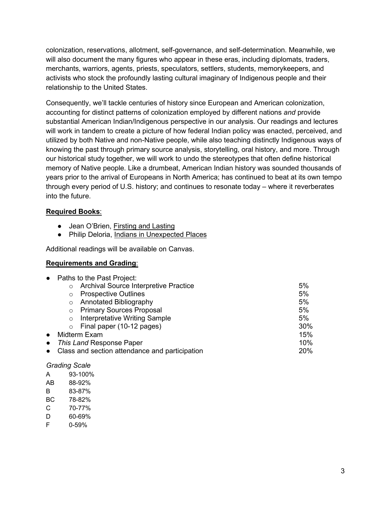colonization, reservations, allotment, self-governance, and self-determination. Meanwhile, we will also document the many figures who appear in these eras, including diplomats, traders, merchants, warriors, agents, priests, speculators, settlers, students, memorykeepers, and activists who stock the profoundly lasting cultural imaginary of Indigenous people and their relationship to the United States.

Consequently, we'll tackle centuries of history since European and American colonization, accounting for distinct patterns of colonization employed by different nations *and* provide substantial American Indian/Indigenous perspective in our analysis. Our readings and lectures will work in tandem to create a picture of how federal Indian policy was enacted, perceived, and utilized by both Native and non-Native people, while also teaching distinctly Indigenous ways of knowing the past through primary source analysis, storytelling, oral history, and more. Through our historical study together, we will work to undo the stereotypes that often define historical memory of Native people. Like a drumbeat, American Indian history was sounded thousands of years prior to the arrival of Europeans in North America; has continued to beat at its own tempo through every period of U.S. history; and continues to resonate today – where it reverberates into the future.

# **Required Books**:

- Jean O'Brien, Firsting and Lasting
- Philip Deloria, Indians in Unexpected Places

Additional readings will be available on Canvas.

# **Requirements and Grading**:

|           | • Paths to the Past Project:                     |     |
|-----------|--------------------------------------------------|-----|
|           | Archival Source Interpretive Practice<br>$\circ$ | 5%  |
|           | <b>Prospective Outlines</b><br>$\circ$           | 5%  |
|           | <b>Annotated Bibliography</b><br>$\circ$         | 5%  |
|           | <b>Primary Sources Proposal</b><br>$\circ$       | 5%  |
|           | Interpretative Writing Sample<br>$\circ$         | 5%  |
|           | Final paper (10-12 pages)<br>$\circ$             | 30% |
| $\bullet$ | Midterm Exam                                     | 15% |
| $\bullet$ | This Land Response Paper                         | 10% |
| $\bullet$ | Class and section attendance and participation   | 20% |
|           |                                                  |     |

## *Grading Scale*

- A 93-100%
- AB 88-92%
- B 83-87%
- BC 78-82%
- C 70-77%
- D 60-69%
- F 0-59%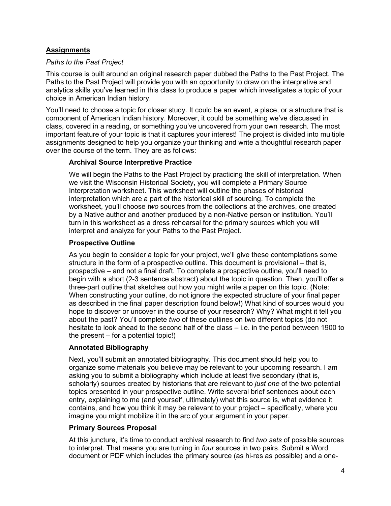# **Assignments**

# *Paths to the Past Project*

This course is built around an original research paper dubbed the Paths to the Past Project. The Paths to the Past Project will provide you with an opportunity to draw on the interpretive and analytics skills you've learned in this class to produce a paper which investigates a topic of your choice in American Indian history.

You'll need to choose a topic for closer study. It could be an event, a place, or a structure that is component of American Indian history. Moreover, it could be something we've discussed in class, covered in a reading, or something you've uncovered from your own research. The most important feature of your topic is that it captures your interest! The project is divided into multiple assignments designed to help you organize your thinking and write a thoughtful research paper over the course of the term. They are as follows:

# **Archival Source Interpretive Practice**

We will begin the Paths to the Past Project by practicing the skill of interpretation. When we visit the Wisconsin Historical Society, you will complete a Primary Source Interpretation worksheet. This worksheet will outline the phases of historical interpretation which are a part of the historical skill of sourcing. To complete the worksheet, you'll choose *two* sources from the collections at the archives, one created by a Native author and another produced by a non-Native person or institution. You'll turn in this worksheet as a dress rehearsal for the primary sources which you will interpret and analyze for your Paths to the Past Project.

# **Prospective Outline**

As you begin to consider a topic for your project, we'll give these contemplations some structure in the form of a prospective outline. This document is provisional – that is, prospective – and not a final draft. To complete a prospective outline, you'll need to begin with a short (2-3 sentence abstract) about the topic in question. Then, you'll offer a three-part outline that sketches out how you might write a paper on this topic. (Note: When constructing your outline, do not ignore the expected structure of your final paper as described in the final paper description found below!) What kind of sources would you hope to discover or uncover in the course of your research? Why? What might it tell you about the past? You'll complete *two* of these outlines on two different topics (do not hesitate to look ahead to the second half of the class – i.e. in the period between 1900 to the present – for a potential topic!)

# **Annotated Bibliography**

Next, you'll submit an annotated bibliography. This document should help you to organize some materials you believe may be relevant to your upcoming research. I am asking you to submit a bibliography which include at least five secondary (that is, scholarly) sources created by historians that are relevant to *just one* of the two potential topics presented in your prospective outline. Write several brief sentences about each entry, explaining to me (and yourself, ultimately) what this source is, what evidence it contains, and how you think it may be relevant to your project – specifically, where you imagine you might mobilize it in the arc of your argument in your paper.

## **Primary Sources Proposal**

At this juncture, it's time to conduct archival research to find *two sets* of possible sources to interpret. That means you are turning in *four* sources in two pairs. Submit a Word document or PDF which includes the primary source (as hi-res as possible) and a one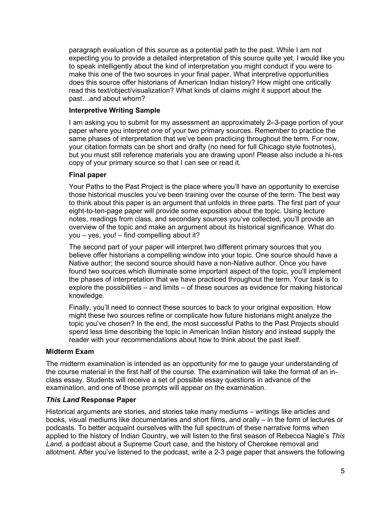paragraph evaluation of this source as a potential path to the past. While I am not expecting you to provide a detailed interpretation of this source quite yet, I would like you to speak intelligently about the kind of interpretation you might conduct if you were to make this one of the two sources in your final paper. What interpretive opportunities does this source offer historians of American Indian history? How might one critically read this text/object/visualization? What kinds of claims might it support about the past…and about whom?

## **Interpretive Writing Sample**

I am asking you to submit for my assessment an approximately 2–3-page portion of your paper where you interpret *one* of your two primary sources. Remember to practice the same phases of interpretation that we've been practicing throughout the term. For now, your citation formats can be short and drafty (no need for full Chicago style footnotes), but you must still reference materials you are drawing upon! Please also include a hi-res copy of your primary source so that I can see or read it.

# **Final paper**

Your Paths to the Past Project is the place where you'll have an opportunity to exercise those historical muscles you've been training over the course of the term. The best way to think about this paper is an argument that unfolds in three parts. The first part of your eight-to-ten-page paper will provide some exposition about the topic. Using lecture notes, readings from class, and secondary sources you've collected, you'll provide an overview of the topic and make an argument about its historical significance. What do you – yes, you! – find compelling about it?

The second part of your paper will interpret two different primary sources that you believe offer historians a compelling window into your topic. One source should have a Native author; the second source should have a non-Native author. Once you have found two sources which illuminate some important aspect of the topic, you'll implement the phases of interpretation that we have practiced throughout the term. Your task is to explore the possibilities – and limits – of these sources as evidence for making historical knowledge.

Finally, you'll need to connect these sources to back to your original exposition. How might these two sources refine or complicate how future historians might analyze the topic you've chosen? In the end, the most successful Paths to the Past Projects should spend less time describing the topic in American Indian history and instead supply the reader with your recommendations about how to think about the past itself.

## **Midterm Exam**

The midterm examination is intended as an opportunity for me to gauge your understanding of the course material in the first half of the course. The examination will take the format of an inclass essay. Students will receive a set of possible essay questions in advance of the examination, and one of those prompts will appear on the examination.

## *This Land* **Response Paper**

Historical arguments are stories, and stories take many mediums – writings like articles and books, visual mediums like documentaries and short films, and orally – in the form of lectures or podcasts. To better acquaint ourselves with the full spectrum of these narrative forms when applied to the history of Indian Country, we will listen to the first season of Rebecca Nagle's *This Land,* a podcast about a Supreme Court case, and the history of Cherokee removal and allotment. After you've listened to the podcast, write a 2-3 page paper that answers the following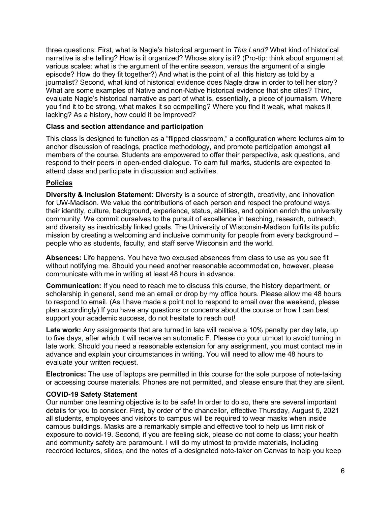three questions: First, what is Nagle's historical argument in *This Land?* What kind of historical narrative is she telling? How is it organized? Whose story is it? (Pro-tip: think about argument at various scales: what is the argument of the entire season, versus the argument of a single episode? How do they fit together?) And what is the point of all this history as told by a journalist? Second, what kind of historical evidence does Nagle draw in order to tell her story? What are some examples of Native and non-Native historical evidence that she cites? Third, evaluate Nagle's historical narrative as part of what is, essentially, a piece of journalism. Where you find it to be strong, what makes it so compelling? Where you find it weak, what makes it lacking? As a history, how could it be improved?

#### **Class and section attendance and participation**

This class is designed to function as a "flipped classroom," a configuration where lectures aim to anchor discussion of readings, practice methodology, and promote participation amongst all members of the course. Students are empowered to offer their perspective, ask questions, and respond to their peers in open-ended dialogue. To earn full marks, students are expected to attend class and participate in discussion and activities.

## **Policies**

**Diversity & Inclusion Statement:** Diversity is a source of strength, creativity, and innovation for UW-Madison. We value the contributions of each person and respect the profound ways their identity, culture, background, experience, status, abilities, and opinion enrich the university community. We commit ourselves to the pursuit of excellence in teaching, research, outreach, and diversity as inextricably linked goals. The University of Wisconsin-Madison fulfills its public mission by creating a welcoming and inclusive community for people from every background – people who as students, faculty, and staff serve Wisconsin and the world.

**Absences:** Life happens. You have two excused absences from class to use as you see fit without notifying me. Should you need another reasonable accommodation, however, please communicate with me in writing at least 48 hours in advance.

**Communication:** If you need to reach me to discuss this course, the history department, or scholarship in general, send me an email or drop by my office hours. Please allow me 48 hours to respond to email. (As I have made a point not to respond to email over the weekend, please plan accordingly) If you have any questions or concerns about the course or how I can best support your academic success, do not hesitate to reach out!

**Late work:** Any assignments that are turned in late will receive a 10% penalty per day late, up to five days, after which it will receive an automatic F. Please do your utmost to avoid turning in late work. Should you need a reasonable extension for any assignment, you must contact me in advance and explain your circumstances in writing. You will need to allow me 48 hours to evaluate your written request.

**Electronics:** The use of laptops are permitted in this course for the sole purpose of note-taking or accessing course materials. Phones are not permitted, and please ensure that they are silent.

#### **COVID-19 Safety Statement**

Our number one learning objective is to be safe! In order to do so, there are several important details for you to consider. First, by order of the chancellor, effective Thursday, August 5, 2021 all students, employees and visitors to campus will be required to wear masks when inside campus buildings. Masks are a remarkably simple and effective tool to help us limit risk of exposure to covid-19. Second, if you are feeling sick, please do not come to class; your health and community safety are paramount. I will do my utmost to provide materials, including recorded lectures, slides, and the notes of a designated note-taker on Canvas to help you keep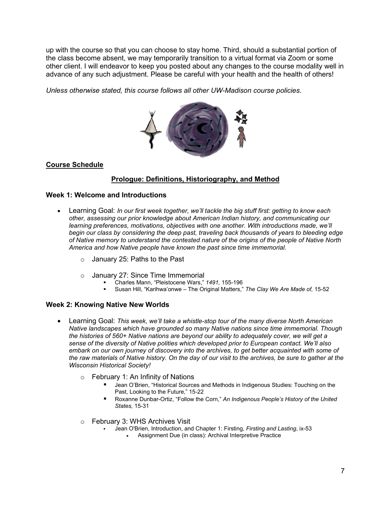up with the course so that you can choose to stay home. Third, should a substantial portion of the class become absent, we may temporarily transition to a virtual format via Zoom or some other client. I will endeavor to keep you posted about any changes to the course modality well in advance of any such adjustment. Please be careful with your health and the health of others!

*Unless otherwise stated, this course follows all other UW-Madison course policies.*



# **Course Schedule**

## **Prologue: Definitions, Historiography, and Method**

#### **Week 1: Welcome and Introductions**

- Learning Goal: *In our first week together, we'll tackle the big stuff first: getting to know each other, assessing our prior knowledge about American Indian history, and communicating our learning preferences, motivations, objectives with one another. With introductions made, we'll begin our class by considering the deep past, traveling back thousands of years to bleeding edge of Native memory to understand the contested nature of the origins of the people of Native North America and how Native people have known the past since time immemorial.*
	- o January 25: Paths to the Past
	- <sup>o</sup> January 27: Since Time Immemorial Charles Mann, "Pleistocene Wars," *1491,* 155-196
		-
		- Susan Hill, "Karihwa'onwe The Original Matters," *The Clay We Are Made of,* 15-52

#### **Week 2: Knowing Native New Worlds**

- Learning Goal: *This week, we'll take a whistle-stop tour of the many diverse North American Native landscapes which have grounded so many Native nations since time immemorial. Though the histories of 560+ Native nations are beyond our ability to adequately cover, we will get a sense of the diversity of Native polities which developed prior to European contact. We'll also*  embark on our own journey of discovery into the archives, to get better acquainted with some of *the raw materials of Native history. On the day of our visit to the archives, be sure to gather at the Wisconsin Historical Society!* 
	- o February 1: An Infinity of Nations
		- Jean O'Brien, "Historical Sources and Methods in Indigenous Studies: Touching on the Past, Looking to the Future," 15-22
		- Roxanne Dunbar-Ortiz, "Follow the Corn," *An Indigenous People's History of the United States,* 15-31
	- o February 3: WHS Archives Visit
		- Jean O'Brien, Introduction, and Chapter 1: Firsting, *Firsting and Lasting*, ix-53
			- Assignment Due (in class): Archival Interpretive Practice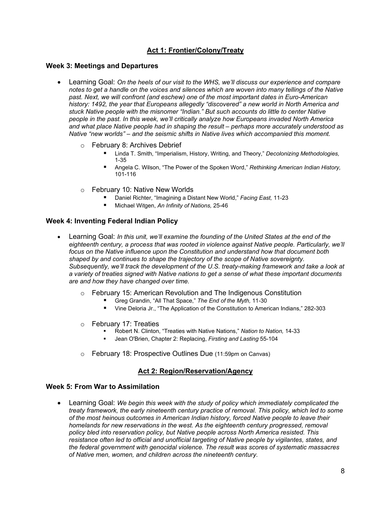# **Act 1: Frontier/Colony/Treaty**

#### **Week 3: Meetings and Departures**

- Learning Goal: *On the heels of our visit to the WHS, we'll discuss our experience and compare notes to get a handle on the voices and silences which are woven into many tellings of the Native past. Next, we will confront (and eschew) one of the most important dates in Euro-American history: 1492, the year that Europeans allegedly "discovered" a new world in North America and stuck Native people with the misnomer "Indian." But such accounts do little to center Native people in the past. In this week, we'll critically analyze how Europeans invaded North America and what place Native people had in shaping the result – perhaps more accurately understood as Native "new worlds" – and the seismic shifts in Native lives which accompanied this moment.*
	- o February 8: Archives Debrief
		- Linda T. Smith, "Imperialism, History, Writing, and Theory," *Decolonizing Methodologies,* 1-35
		- Angela C. Wilson, "The Power of the Spoken Word," *Rethinking American Indian History,*  101-116
	- o February 10: Native New Worlds
		- Daniel Richter, "Imagining a Distant New World," *Facing East,* 11-23
		- Michael Witgen, *An Infinity of Nations,* 25-46

#### **Week 4: Inventing Federal Indian Policy**

- Learning Goal: *In this unit, we'll examine the founding of the United States at the end of the eighteenth century, a process that was rooted in violence against Native people. Particularly, we'll focus on the Native influence upon the Constitution and understand how that document both shaped by and continues to shape the trajectory of the scope of Native sovereignty. Subsequently, we'll track the development of the U.S. treaty-making framework and take a look at a variety of treaties signed with Native nations to get a sense of what these important documents are and how they have changed over time.* 
	- o February 15: American Revolution and The Indigenous Constitution
		- Greg Grandin, "All That Space," *The End of the Myth,* 11-30
		- **UPE 15 Vine Deloria Jr., "The Application of the Constitution to American Indians," 282-303**
	-
	- <sup>o</sup> February 17: Treaties Robert N. Clinton, "Treaties with Native Nations," *Nation to Nation,* 14-33
		- Jean O'Brien, Chapter 2: Replacing, *Firsting and Lasting* 55-104
	- o February 18: Prospective Outlines Due (11:59pm on Canvas)

#### **Act 2: Region/Reservation/Agency**

#### **Week 5: From War to Assimilation**

• Learning Goal: *We begin this week with the study of policy which immediately complicated the treaty framework, the early nineteenth century practice of removal. This policy, which led to some of the most heinous outcomes in American Indian history, forced Native people to leave their homelands for new reservations in the west. As the eighteenth century progressed, removal policy bled into reservation policy, but Native people across North America resisted. This resistance often led to official and unofficial targeting of Native people by vigilantes, states, and the federal government with genocidal violence. The result was scores of systematic massacres of Native men, women, and children across the nineteenth century.*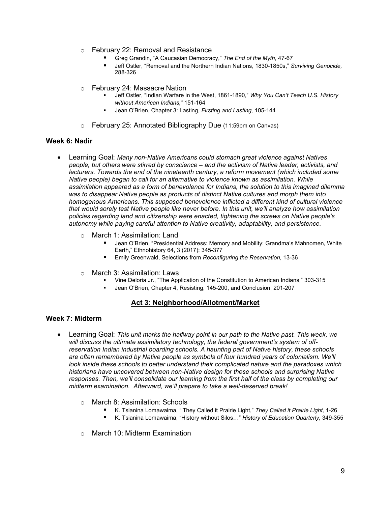- o February 22: Removal and Resistance
	- Greg Grandin, "A Caucasian Democracy," *The End of the Myth,* 47-67
	- Jeff Ostler, "Removal and the Northern Indian Nations, 1830-1850s," *Surviving Genocide,*  288-326
- 
- o February 24: Massacre Nation<br>Jeff Ostler, "Indian Warfare in the West, 1861-1890," *Why You Can't Teach U.S. History without American Indians,"* 151-164
	- Jean O'Brien, Chapter 3: Lasting, *Firsting and Lasting,* 105-144
- o February 25: Annotated Bibliography Due (11:59pm on Canvas)

#### **Week 6: Nadir**

- Learning Goal: *Many non-Native Americans could stomach great violence against Natives people, but others were stirred by conscience – and the activism of Native leader, activists, and lecturers. Towards the end of the nineteenth century, a reform movement (which included some Native people) began to call for an alternative to violence known as assimilation. While assimilation appeared as a form of benevolence for Indians, the solution to this imagined dilemma was to disappear Native people as products of distinct Native cultures and morph them into homogenous Americans. This supposed benevolence inflicted a different kind of cultural violence that would sorely test Native people like never before. In this unit, we'll analyze how assimilation policies regarding land and citizenship were enacted, tightening the screws on Native people's autonomy while paying careful attention to Native creativity, adaptability, and persistence.*
	- o March 1: Assimilation: Land
		- Jean O'Brien, "Presidential Address: Memory and Mobility: Grandma's Mahnomen, White Earth," Ethnohistory 64, 3 (2017): 345-377
		- Emily Greenwald, Selections from *Reconfiguring the Reservation,* 13-36
	-
	- <sup>o</sup> March 3: Assimilation: Laws Vine Deloria Jr., "The Application of the Constitution to American Indians," 303-315
		- Jean O'Brien, Chapter 4, Resisting, 145-200, and Conclusion, 201-207

#### **Act 3: Neighborhood/Allotment/Market**

#### **Week 7: Midterm**

- Learning Goal: *This unit marks the halfway point in our path to the Native past. This week, we will discuss the ultimate assimilatory technology, the federal government's system of offreservation Indian industrial boarding schools. A haunting part of Native history, these schools are often remembered by Native people as symbols of four hundred years of colonialism. We'll look inside these schools to better understand their complicated nature and the paradoxes which historians have uncovered between non-Native design for these schools and surprising Native responses. Then, we'll consolidate our learning from the first half of the class by completing our midterm examination. Afterward, we'll prepare to take a well-deserved break!*
	- o March 8: Assimilation: Schools
		- K. Tsianina Lomawaima, "'They Called it Prairie Light," *They Called it Prairie Light,* 1-26
		- K. Tsianina Lomawaima, "History without Silos…" *History of Education Quarterly,* 349-355
	- o March 10: Midterm Examination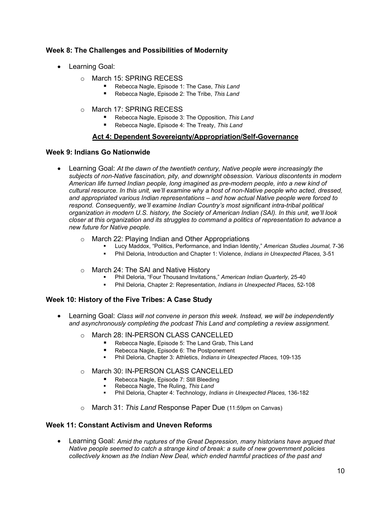## **Week 8: The Challenges and Possibilities of Modernity**

- Learning Goal:
	- o March 15: SPRING RECESS
		- Rebecca Nagle, Episode 1: The Case, *This Land*
		- Rebecca Nagle, Episode 2: The Tribe, *This Land*
	- o March 17: SPRING RECESS
		- Rebecca Nagle, Episode 3: The Opposition, *This Land*
		- Rebecca Nagle, Episode 4: The Treaty, This Land

#### **Act 4: Dependent Sovereignty/Appropriation/Self-Governance**

#### **Week 9: Indians Go Nationwide**

- Learning Goal: *At the dawn of the twentieth century, Native people were increasingly the subjects of non-Native fascination, pity, and downright obsession. Various discontents in modern American life turned Indian people, long imagined as pre-modern people, into a new kind of cultural resource. In this unit, we'll examine why a host of non-Native people who acted, dressed, and appropriated various Indian representations – and how actual Native people were forced to respond. Consequently, we'll examine Indian Country's most significant intra-tribal political organization in modern U.S. history, the Society of American Indian (SAI). In this unit, we'll look closer at this organization and its struggles to command a politics of representation to advance a new future for Native people.* 
	-
	- <sup>o</sup> March 22: Playing Indian and Other Appropriations Lucy Maddox, "Politics, Performance, and Indian Identity," *American Studies Journal,* 7-36
		- Phil Deloria, Introduction and Chapter 1: Violence, *Indians in Unexpected Places,* 3-51
	-
	- o March 24: The SAI and Native History<br> Phil Deloria, "Four Thousand Invitations," *American Indian Quarterly,* 25-40
		- Phil Deloria, Chapter 2: Representation, *Indians in Unexpected Places,* 52-108

#### **Week 10: History of the Five Tribes: A Case Study**

- Learning Goal: *Class will not convene in person this week. Instead, we will be independently and asynchronously completing the podcast This Land and completing a review assignment.* 
	- o March 28: IN-PERSON CLASS CANCELLED
		- Rebecca Nagle, Episode 5: The Land Grab, This Land
		- Rebecca Nagle, Episode 6: The Postponement
		- Phil Deloria, Chapter 3: Athletics, *Indians in Unexpected Places,* 109-135
	- o March 30: IN-PERSON CLASS CANCELLED
		- Rebecca Nagle, Episode 7: Still Bleeding
		- Rebecca Nagle, The Ruling, *This Land*
		- Phil Deloria, Chapter 4: Technology, *Indians in Unexpected Places,* 136-182
	- o March 31: *This Land* Response Paper Due (11:59pm on Canvas)

#### **Week 11: Constant Activism and Uneven Reforms**

• Learning Goal: *Amid the ruptures of the Great Depression, many historians have argued that Native people seemed to catch a strange kind of break: a suite of new government policies collectively known as the Indian New Deal, which ended harmful practices of the past and*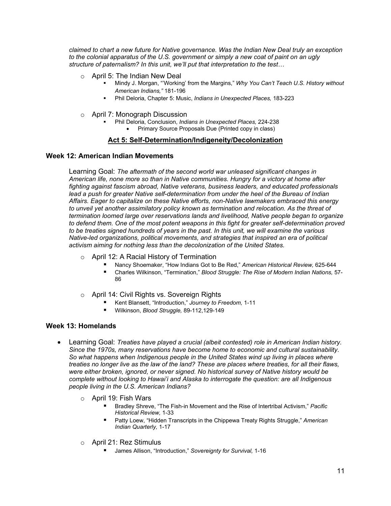*claimed to chart a new future for Native governance. Was the Indian New Deal truly an exception to the colonial apparatus of the U.S. government or simply a new coat of paint on an ugly structure of paternalism? In this unit, we'll put that interpretation to the test…* 

- 
- <sup>o</sup> April 5: The Indian New Deal Mindy J. Morgan, "'Working' from the Margins," *Why You Can't Teach U.S. History without American Indians,"* 181-196
	- Phil Deloria, Chapter 5: Music, *Indians in Unexpected Places,* 183-223
- 
- <sup>o</sup> April 7: Monograph Discussion Phil Deloria, Conclusion, *Indians in Unexpected Places,* 224-238
	- Primary Source Proposals Due (Printed copy in class)

#### **Act 5: Self-Determination/Indigeneity/Decolonization**

#### **Week 12: American Indian Movements**

Learning Goal: *The aftermath of the second world war unleased significant changes in American life, none more so than in Native communities. Hungry for a victory at home after fighting against fascism abroad, Native veterans, business leaders, and educated professionals* lead a push for greater Native self-determination from under the heel of the Bureau of Indian *Affairs. Eager to capitalize on these Native efforts, non-Native lawmakers embraced this energy to unveil yet another assimilatory policy known as termination and relocation. As the threat of termination loomed large over reservations lands and livelihood, Native people began to organize to defend them. One of the most potent weapons in this fight for greater self-determination proved to be treaties signed hundreds of years in the past. In this unit, we will examine the various Native-led organizations, political movements, and strategies that inspired an era of political activism aiming for nothing less than the decolonization of the United States.* 

- o April 12: A Racial History of Termination
	- Nancy Shoemaker, "How Indians Got to Be Red," *American Historical Review,* 625-644
	- Charles Wilkinson, "Termination," *Blood Struggle: The Rise of Modern Indian Nations,* 57- 86
- o April 14: Civil Rights vs. Sovereign Rights
	- Kent Blansett, "Introduction," *Journey to Freedom,* 1-11
	- Wilkinson, *Blood Struggle,* 89-112,129-149

#### **Week 13: Homelands**

- Learning Goal: *Treaties have played a crucial (albeit contested) role in American Indian history. Since the 1970s, many reservations have become home to economic and cultural sustainability. So what happens when Indigenous people in the United States wind up living in places where treaties no longer live as the law of the land? These are places where treaties, for all their flaws, were either broken, ignored, or never signed. No historical survey of Native history would be complete without looking to Hawai'i and Alaska to interrogate the question: are all Indigenous people living in the U.S. American Indians?* 
	- o April 19: Fish Wars
		- Bradley Shreve, "The Fish-in Movement and the Rise of Intertribal Activism," *Pacific Historical Review,* 1-33
		- Patty Loew, "Hidden Transcripts in the Chippewa Treaty Rights Struggle," *American Indian Quarterly,* 1-17
	- o April 21: Rez Stimulus
		- James Allison, "Introduction," *Sovereignty for Survival,* 1-16